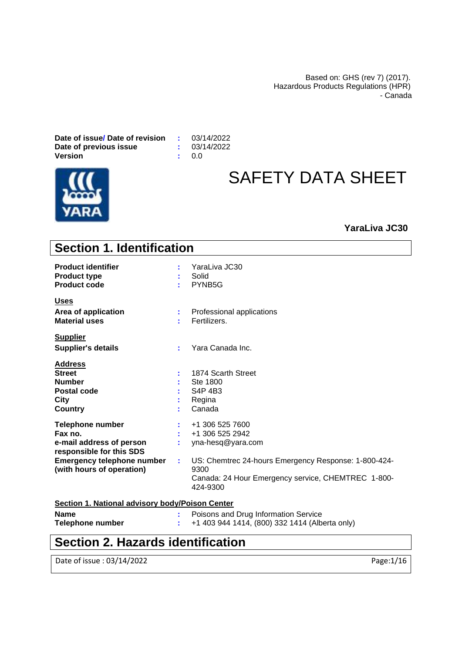Based on: GHS (rev 7) (2017). Hazardous Products Regulations (HPR) - Canada

**Date of issue/ Date of revision :** 03/14/2022 **Date of previous issue**  $\qquad$  **: 03/14/2023**<br>Version  $\qquad$ : 0.0 **Version** 



# SAFETY DATA SHEET

### **YaraLiva JC30**

| <b>Section 1. Identification</b>                                                                                                                             |                                                                                                                                                                                                 |
|--------------------------------------------------------------------------------------------------------------------------------------------------------------|-------------------------------------------------------------------------------------------------------------------------------------------------------------------------------------------------|
| <b>Product identifier</b><br><b>Product type</b><br><b>Product code</b>                                                                                      | YaraLiva JC30<br>Solid<br>PYNB5G<br>۰.                                                                                                                                                          |
| <u>Uses</u>                                                                                                                                                  |                                                                                                                                                                                                 |
| Area of application<br><b>Material uses</b>                                                                                                                  | Professional applications<br>Fertilizers.                                                                                                                                                       |
| <b>Supplier</b>                                                                                                                                              |                                                                                                                                                                                                 |
| <b>Supplier's details</b>                                                                                                                                    | Yara Canada Inc.                                                                                                                                                                                |
| <b>Address</b><br><b>Street</b><br><b>Number</b><br>Postal code<br><b>City</b><br><b>Country</b>                                                             | 1874 Scarth Street<br>Ste 1800<br>S4P 4B3<br>Regina<br>Canada                                                                                                                                   |
| <b>Telephone number</b><br>Fax no.<br>e-mail address of person<br>responsible for this SDS<br><b>Emergency telephone number</b><br>(with hours of operation) | +1 306 525 7600<br>+1 306 525 2942<br>yna-hesq@yara.com<br>US: Chemtrec 24-hours Emergency Response: 1-800-424-<br>t.<br>9300<br>Canada: 24 Hour Emergency service, CHEMTREC 1-800-<br>424-9300 |
| <b>Section 1. National advisory body/Poison Center</b>                                                                                                       |                                                                                                                                                                                                 |
| <b>Nama</b>                                                                                                                                                  | . Dejasne and Drug Information Convice                                                                                                                                                          |

**Name :** Poisons and Drug Information Service **Telephone number :** +1 403 944 1414, (800) 332 1414 (Alberta only)

### **Section 2. Hazards identification**

Date of issue : 03/14/2022 Page:1/16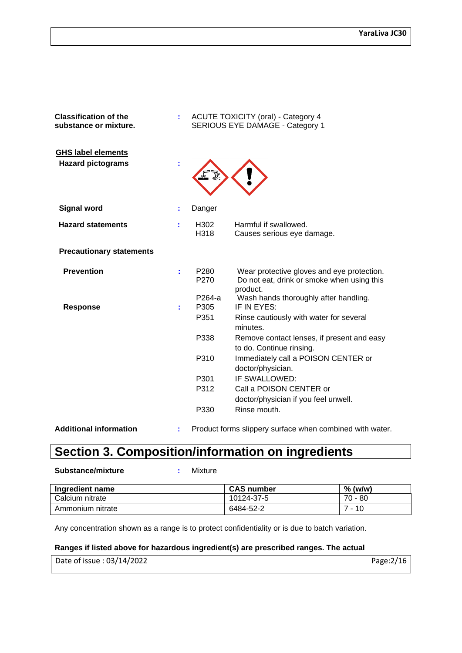| <b>Classification of the</b><br>substance or mixture. | ÷. |                          | <b>ACUTE TOXICITY (oral) - Category 4</b><br>SERIOUS EYE DAMAGE - Category 1                         |
|-------------------------------------------------------|----|--------------------------|------------------------------------------------------------------------------------------------------|
| <b>GHS label elements</b><br><b>Hazard pictograms</b> |    |                          |                                                                                                      |
| <b>Signal word</b>                                    | ÷  | Danger                   |                                                                                                      |
| <b>Hazard statements</b>                              | ÷  | H <sub>302</sub><br>H318 | Harmful if swallowed.<br>Causes serious eye damage.                                                  |
| <b>Precautionary statements</b>                       |    |                          |                                                                                                      |
| <b>Prevention</b>                                     | ÷  | P <sub>280</sub><br>P270 | Wear protective gloves and eye protection.<br>Do not eat, drink or smoke when using this<br>product. |
| <b>Response</b>                                       | ÷  | P264-a<br>P305<br>P351   | Wash hands thoroughly after handling.<br>IF IN EYES:<br>Rinse cautiously with water for several      |
|                                                       |    | P338                     | minutes.<br>Remove contact lenses, if present and easy<br>to do. Continue rinsing.                   |
|                                                       |    | P310                     | Immediately call a POISON CENTER or<br>doctor/physician.                                             |
|                                                       |    | P301                     | IF SWALLOWED:                                                                                        |
|                                                       |    | P312                     | Call a POISON CENTER or                                                                              |
|                                                       |    |                          | doctor/physician if you feel unwell.                                                                 |
|                                                       |    | P330                     | Rinse mouth.                                                                                         |
|                                                       |    |                          | the property of the control of the control of the control of the control of the control of           |

**Additional information :** Product forms slippery surface when combined with water.

### **Section 3. Composition/information on ingredients**

**Substance/mixture :** Mixture

| Ingredient name  | <b>CAS number</b> | $%$ (w/w) |
|------------------|-------------------|-----------|
| Calcium nitrate  | 10124-37-5        | $70 - 80$ |
| Ammonium nitrate | 6484-52-2         | $-10$     |

Any concentration shown as a range is to protect confidentiality or is due to batch variation.

#### **Ranges if listed above for hazardous ingredient(s) are prescribed ranges. The actual**

| Date of issue: 03/14/2022 | Page: 2/16 |
|---------------------------|------------|
|---------------------------|------------|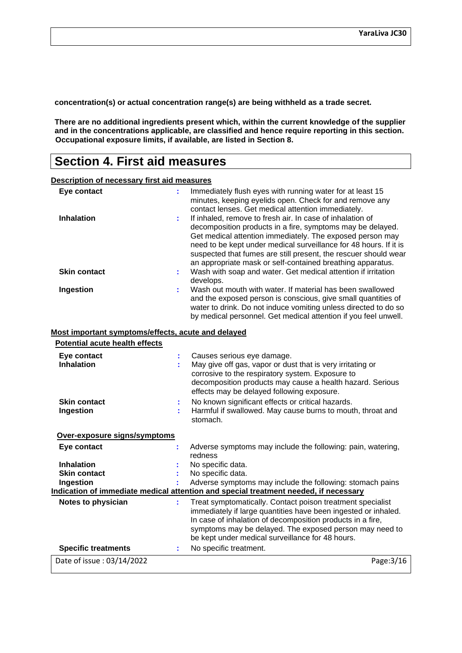**concentration(s) or actual concentration range(s) are being withheld as a trade secret.**

**There are no additional ingredients present which, within the current knowledge of the supplier and in the concentrations applicable, are classified and hence require reporting in this section. Occupational exposure limits, if available, are listed in Section 8.**

### **Section 4. First aid measures**

**Description of necessary first aid measures**

| Eye contact                                        |         | Immediately flush eyes with running water for at least 15<br>minutes, keeping eyelids open. Check for and remove any                                                                                                                                                                                                                                                                                                                                                                                              |
|----------------------------------------------------|---------|-------------------------------------------------------------------------------------------------------------------------------------------------------------------------------------------------------------------------------------------------------------------------------------------------------------------------------------------------------------------------------------------------------------------------------------------------------------------------------------------------------------------|
| <b>Inhalation</b><br><b>Skin contact</b>           | ÷<br>÷. | contact lenses. Get medical attention immediately.<br>If inhaled, remove to fresh air. In case of inhalation of<br>decomposition products in a fire, symptoms may be delayed.<br>Get medical attention immediately. The exposed person may<br>need to be kept under medical surveillance for 48 hours. If it is<br>suspected that fumes are still present, the rescuer should wear<br>an appropriate mask or self-contained breathing apparatus.<br>Wash with soap and water. Get medical attention if irritation |
|                                                    |         | develops.<br>Wash out mouth with water. If material has been swallowed                                                                                                                                                                                                                                                                                                                                                                                                                                            |
| Ingestion                                          |         | and the exposed person is conscious, give small quantities of<br>water to drink. Do not induce vomiting unless directed to do so<br>by medical personnel. Get medical attention if you feel unwell.                                                                                                                                                                                                                                                                                                               |
| Most important symptoms/effects, acute and delayed |         |                                                                                                                                                                                                                                                                                                                                                                                                                                                                                                                   |
| <b>Potential acute health effects</b>              |         |                                                                                                                                                                                                                                                                                                                                                                                                                                                                                                                   |
| Eye contact<br><b>Inhalation</b>                   |         | Causes serious eye damage.<br>May give off gas, vapor or dust that is very irritating or<br>corrosive to the respiratory system. Exposure to<br>decomposition products may cause a health hazard. Serious<br>effects may be delayed following exposure.                                                                                                                                                                                                                                                           |
| <b>Skin contact</b><br>Ingestion                   |         | No known significant effects or critical hazards.<br>Harmful if swallowed. May cause burns to mouth, throat and<br>stomach.                                                                                                                                                                                                                                                                                                                                                                                       |
| Over-exposure signs/symptoms                       |         |                                                                                                                                                                                                                                                                                                                                                                                                                                                                                                                   |
| Eye contact                                        |         | Adverse symptoms may include the following: pain, watering,<br>redness                                                                                                                                                                                                                                                                                                                                                                                                                                            |
| <b>Inhalation</b>                                  |         | No specific data.                                                                                                                                                                                                                                                                                                                                                                                                                                                                                                 |
| <b>Skin contact</b>                                |         | No specific data.                                                                                                                                                                                                                                                                                                                                                                                                                                                                                                 |
| Ingestion                                          |         | Adverse symptoms may include the following: stomach pains<br>Indication of immediate medical attention and special treatment needed, if necessary                                                                                                                                                                                                                                                                                                                                                                 |
| Notes to physician                                 | ÷       | Treat symptomatically. Contact poison treatment specialist                                                                                                                                                                                                                                                                                                                                                                                                                                                        |
|                                                    |         | immediately if large quantities have been ingested or inhaled.<br>In case of inhalation of decomposition products in a fire,<br>symptoms may be delayed. The exposed person may need to<br>be kept under medical surveillance for 48 hours.                                                                                                                                                                                                                                                                       |
| <b>Specific treatments</b>                         | ÷       | No specific treatment.                                                                                                                                                                                                                                                                                                                                                                                                                                                                                            |
| Date of issue: 03/14/2022                          |         | Page: 3/16                                                                                                                                                                                                                                                                                                                                                                                                                                                                                                        |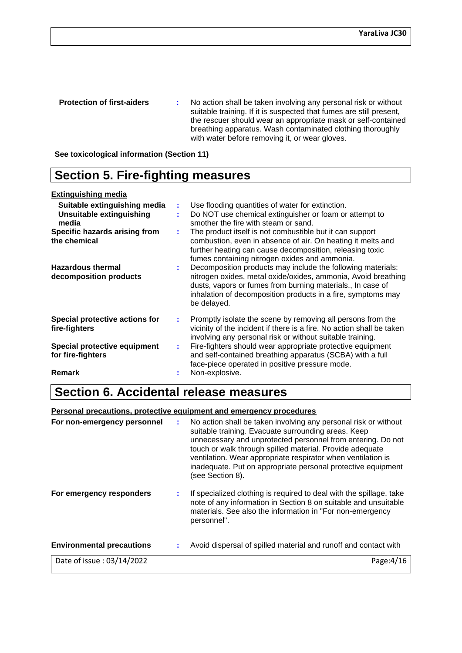**Protection of first-aiders** : No action shall be taken involving any personal risk or without suitable training. If it is suspected that fumes are still present, the rescuer should wear an appropriate mask or self-contained breathing apparatus. Wash contaminated clothing thoroughly with water before removing it, or wear gloves.

**See toxicological information (Section 11)**

### **Section 5. Fire-fighting measures**

#### **Extinguishing media**

| Suitable extinguishing media<br><b>Unsuitable extinguishing</b><br>media<br>Specific hazards arising from<br>the chemical | ÷<br>÷ | Use flooding quantities of water for extinction.<br>Do NOT use chemical extinguisher or foam or attempt to<br>smother the fire with steam or sand.<br>The product itself is not combustible but it can support<br>combustion, even in absence of air. On heating it melts and<br>further heating can cause decomposition, releasing toxic<br>fumes containing nitrogen oxides and ammonia. |
|---------------------------------------------------------------------------------------------------------------------------|--------|--------------------------------------------------------------------------------------------------------------------------------------------------------------------------------------------------------------------------------------------------------------------------------------------------------------------------------------------------------------------------------------------|
| <b>Hazardous thermal</b><br>decomposition products                                                                        |        | Decomposition products may include the following materials:<br>nitrogen oxides, metal oxide/oxides, ammonia, Avoid breathing<br>dusts, vapors or fumes from burning materials., In case of<br>inhalation of decomposition products in a fire, symptoms may<br>be delayed.                                                                                                                  |
| Special protective actions for<br>fire-fighters                                                                           | ÷      | Promptly isolate the scene by removing all persons from the<br>vicinity of the incident if there is a fire. No action shall be taken<br>involving any personal risk or without suitable training.                                                                                                                                                                                          |
| Special protective equipment<br>for fire-fighters                                                                         | ÷.     | Fire-fighters should wear appropriate protective equipment<br>and self-contained breathing apparatus (SCBA) with a full<br>face-piece operated in positive pressure mode.                                                                                                                                                                                                                  |
| Remark                                                                                                                    | ÷      | Non-explosive.                                                                                                                                                                                                                                                                                                                                                                             |

### **Section 6. Accidental release measures**

#### **Personal precautions, protective equipment and emergency procedures**

|                                  | touch or walk through spilled material. Provide adequate<br>ventilation. Wear appropriate respirator when ventilation is<br>inadequate. Put on appropriate personal protective equipment<br>(see Section 8).       |
|----------------------------------|--------------------------------------------------------------------------------------------------------------------------------------------------------------------------------------------------------------------|
| For emergency responders         | If specialized clothing is required to deal with the spillage, take<br>note of any information in Section 8 on suitable and unsuitable<br>materials. See also the information in "For non-emergency<br>personnel". |
| <b>Environmental precautions</b> | Avoid dispersal of spilled material and runoff and contact with                                                                                                                                                    |
| Date of issue: 03/14/2022        | Page: 4/16                                                                                                                                                                                                         |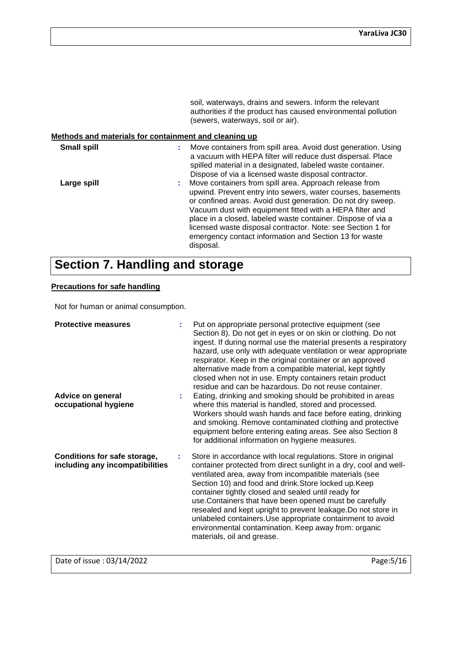soil, waterways, drains and sewers. Inform the relevant authorities if the product has caused environmental pollution (sewers, waterways, soil or air).

#### **Methods and materials for containment and cleaning up**

| <b>Small spill</b> |   | Move containers from spill area. Avoid dust generation. Using<br>a vacuum with HEPA filter will reduce dust dispersal. Place<br>spilled material in a designated, labeled waste container.<br>Dispose of via a licensed waste disposal contractor.                                                                                                                                                                                                     |
|--------------------|---|--------------------------------------------------------------------------------------------------------------------------------------------------------------------------------------------------------------------------------------------------------------------------------------------------------------------------------------------------------------------------------------------------------------------------------------------------------|
| Large spill        | ÷ | Move containers from spill area. Approach release from<br>upwind. Prevent entry into sewers, water courses, basements<br>or confined areas. Avoid dust generation. Do not dry sweep.<br>Vacuum dust with equipment fitted with a HEPA filter and<br>place in a closed, labeled waste container. Dispose of via a<br>licensed waste disposal contractor. Note: see Section 1 for<br>emergency contact information and Section 13 for waste<br>disposal. |

### **Section 7. Handling and storage**

#### **Precautions for safe handling**

Not for human or animal consumption.

| <b>Protective measures</b><br>Advice on general<br>occupational hygiene | t. | Put on appropriate personal protective equipment (see<br>Section 8). Do not get in eyes or on skin or clothing. Do not<br>ingest. If during normal use the material presents a respiratory<br>hazard, use only with adequate ventilation or wear appropriate<br>respirator. Keep in the original container or an approved<br>alternative made from a compatible material, kept tightly<br>closed when not in use. Empty containers retain product<br>residue and can be hazardous. Do not reuse container.<br>Eating, drinking and smoking should be prohibited in areas<br>where this material is handled, stored and processed.<br>Workers should wash hands and face before eating, drinking |
|-------------------------------------------------------------------------|----|-------------------------------------------------------------------------------------------------------------------------------------------------------------------------------------------------------------------------------------------------------------------------------------------------------------------------------------------------------------------------------------------------------------------------------------------------------------------------------------------------------------------------------------------------------------------------------------------------------------------------------------------------------------------------------------------------|
|                                                                         |    | and smoking. Remove contaminated clothing and protective<br>equipment before entering eating areas. See also Section 8<br>for additional information on hygiene measures.                                                                                                                                                                                                                                                                                                                                                                                                                                                                                                                       |
| Conditions for safe storage,<br>including any incompatibilities         | ÷  | Store in accordance with local regulations. Store in original<br>container protected from direct sunlight in a dry, cool and well-<br>ventilated area, away from incompatible materials (see<br>Section 10) and food and drink. Store locked up. Keep<br>container tightly closed and sealed until ready for<br>use. Containers that have been opened must be carefully<br>resealed and kept upright to prevent leakage. Do not store in<br>unlabeled containers. Use appropriate containment to avoid<br>environmental contamination. Keep away from: organic<br>materials, oil and grease.                                                                                                    |

Date of issue : 03/14/2022 Page:5/16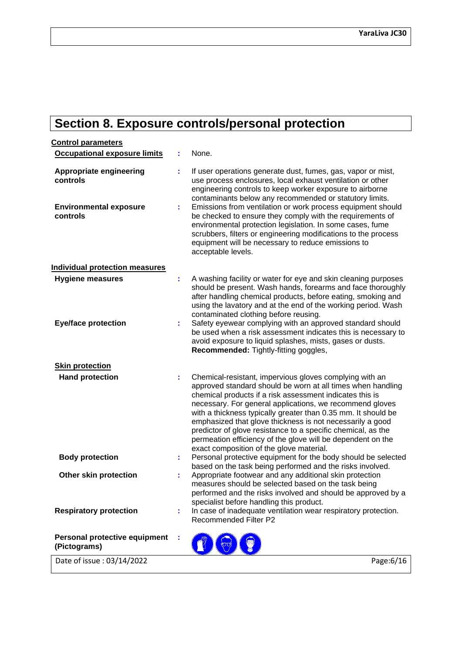## **Section 8. Exposure controls/personal protection**

| <b>Control parameters</b>                     |    |                                                                                                                                                                                                                                                                                                                                                                                                                                                                                                                                                         |
|-----------------------------------------------|----|---------------------------------------------------------------------------------------------------------------------------------------------------------------------------------------------------------------------------------------------------------------------------------------------------------------------------------------------------------------------------------------------------------------------------------------------------------------------------------------------------------------------------------------------------------|
| <b>Occupational exposure limits</b>           |    | None.                                                                                                                                                                                                                                                                                                                                                                                                                                                                                                                                                   |
| <b>Appropriate engineering</b><br>controls    | t  | If user operations generate dust, fumes, gas, vapor or mist,<br>use process enclosures, local exhaust ventilation or other<br>engineering controls to keep worker exposure to airborne<br>contaminants below any recommended or statutory limits.                                                                                                                                                                                                                                                                                                       |
| <b>Environmental exposure</b><br>controls     | ÷. | Emissions from ventilation or work process equipment should<br>be checked to ensure they comply with the requirements of<br>environmental protection legislation. In some cases, fume<br>scrubbers, filters or engineering modifications to the process<br>equipment will be necessary to reduce emissions to<br>acceptable levels.                                                                                                                                                                                                                     |
| <b>Individual protection measures</b>         |    |                                                                                                                                                                                                                                                                                                                                                                                                                                                                                                                                                         |
| <b>Hygiene measures</b>                       | t  | A washing facility or water for eye and skin cleaning purposes<br>should be present. Wash hands, forearms and face thoroughly<br>after handling chemical products, before eating, smoking and<br>using the lavatory and at the end of the working period. Wash<br>contaminated clothing before reusing.                                                                                                                                                                                                                                                 |
| <b>Eye/face protection</b>                    | t  | Safety eyewear complying with an approved standard should<br>be used when a risk assessment indicates this is necessary to<br>avoid exposure to liquid splashes, mists, gases or dusts.<br>Recommended: Tightly-fitting goggles,                                                                                                                                                                                                                                                                                                                        |
| <b>Skin protection</b>                        |    |                                                                                                                                                                                                                                                                                                                                                                                                                                                                                                                                                         |
| <b>Hand protection</b>                        |    | Chemical-resistant, impervious gloves complying with an<br>approved standard should be worn at all times when handling<br>chemical products if a risk assessment indicates this is<br>necessary. For general applications, we recommend gloves<br>with a thickness typically greater than 0.35 mm. It should be<br>emphasized that glove thickness is not necessarily a good<br>predictor of glove resistance to a specific chemical, as the<br>permeation efficiency of the glove will be dependent on the<br>exact composition of the glove material. |
| <b>Body protection</b>                        | t, | Personal protective equipment for the body should be selected                                                                                                                                                                                                                                                                                                                                                                                                                                                                                           |
| Other skin protection                         | ÷  | based on the task being performed and the risks involved.<br>Appropriate footwear and any additional skin protection<br>measures should be selected based on the task being<br>performed and the risks involved and should be approved by a<br>specialist before handling this product.                                                                                                                                                                                                                                                                 |
| <b>Respiratory protection</b>                 |    | In case of inadequate ventilation wear respiratory protection.<br>Recommended Filter P2                                                                                                                                                                                                                                                                                                                                                                                                                                                                 |
| Personal protective equipment<br>(Pictograms) |    |                                                                                                                                                                                                                                                                                                                                                                                                                                                                                                                                                         |
| Date of issue: 03/14/2022                     |    | Page:6/16                                                                                                                                                                                                                                                                                                                                                                                                                                                                                                                                               |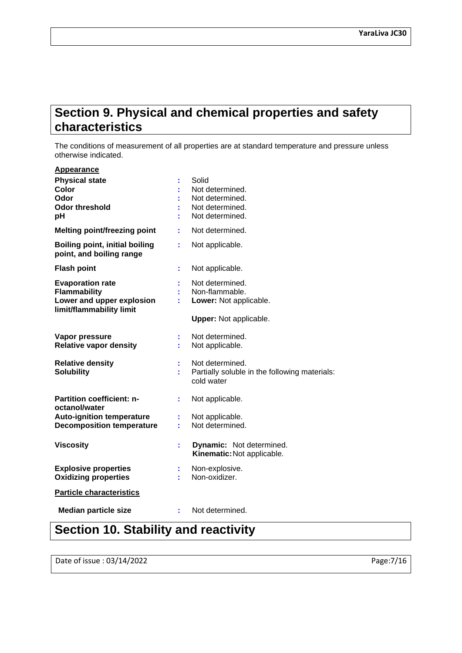### **Section 9. Physical and chemical properties and safety characteristics**

The conditions of measurement of all properties are at standard temperature and pressure unless otherwise indicated.

| Appearance                                                                                              |    |                                                                                              |
|---------------------------------------------------------------------------------------------------------|----|----------------------------------------------------------------------------------------------|
| <b>Physical state</b><br>Color<br>Odor<br><b>Odor threshold</b><br>рH                                   |    | Solid<br>Not determined.<br>Not determined.<br>Not determined.<br>Not determined.            |
| <b>Melting point/freezing point</b>                                                                     |    | Not determined.                                                                              |
| <b>Boiling point, initial boiling</b><br>point, and boiling range                                       |    | Not applicable.                                                                              |
| <b>Flash point</b>                                                                                      | ÷  | Not applicable.                                                                              |
| <b>Evaporation rate</b><br><b>Flammability</b><br>Lower and upper explosion<br>limit/flammability limit |    | Not determined.<br>Non-flammable.<br>Lower: Not applicable.<br><b>Upper:</b> Not applicable. |
|                                                                                                         |    |                                                                                              |
| Vapor pressure<br><b>Relative vapor density</b>                                                         |    | Not determined.<br>Not applicable.                                                           |
| <b>Relative density</b><br><b>Solubility</b>                                                            | ř. | Not determined.<br>Partially soluble in the following materials:<br>cold water               |
| <b>Partition coefficient: n-</b><br>octanol/water                                                       |    | Not applicable.                                                                              |
| <b>Auto-ignition temperature</b><br><b>Decomposition temperature</b>                                    |    | Not applicable.<br>Not determined.                                                           |
| <b>Viscosity</b>                                                                                        | ÷  | <b>Dynamic:</b> Not determined.<br>Kinematic: Not applicable.                                |
| <b>Explosive properties</b><br><b>Oxidizing properties</b>                                              |    | Non-explosive.<br>Non-oxidizer.                                                              |
| <b>Particle characteristics</b>                                                                         |    |                                                                                              |
| <b>Median particle size</b>                                                                             |    | Not determined.                                                                              |

### **Section 10. Stability and reactivity**

Date of issue : 03/14/2022 Page:7/16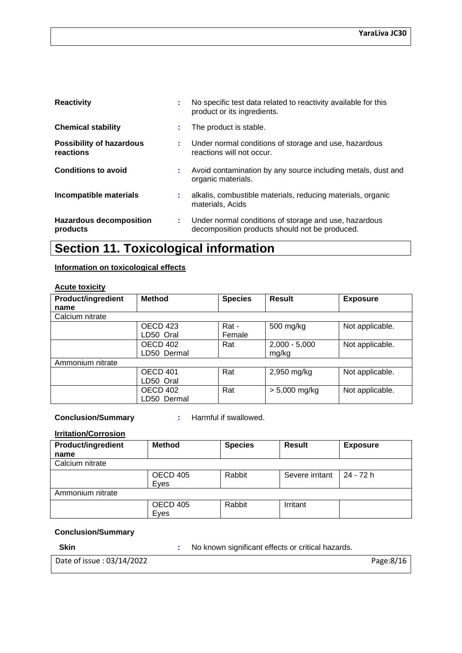| <b>Reactivity</b>                            |    | No specific test data related to reactivity available for this<br>product or its ingredients.           |
|----------------------------------------------|----|---------------------------------------------------------------------------------------------------------|
| <b>Chemical stability</b>                    | ÷. | The product is stable.                                                                                  |
| <b>Possibility of hazardous</b><br>reactions | ÷. | Under normal conditions of storage and use, hazardous<br>reactions will not occur.                      |
| <b>Conditions to avoid</b>                   | ÷. | Avoid contamination by any source including metals, dust and<br>organic materials.                      |
| Incompatible materials                       | ÷. | alkalis, combustible materials, reducing materials, organic<br>materials, Acids                         |
| Hazardous decomposition<br>products          | ÷. | Under normal conditions of storage and use, hazardous<br>decomposition products should not be produced. |

### **Section 11. Toxicological information**

#### **Information on toxicological effects**

#### **Acute toxicity**

| <b>Product/ingredient</b> | <b>Method</b> | <b>Species</b> | <b>Result</b>   | <b>Exposure</b> |
|---------------------------|---------------|----------------|-----------------|-----------------|
| name                      |               |                |                 |                 |
| Calcium nitrate           |               |                |                 |                 |
|                           | OECD 423      | Rat -          | 500 mg/kg       | Not applicable. |
|                           | LD50 Oral     | Female         |                 |                 |
|                           | OECD 402      | Rat            | $2,000 - 5,000$ | Not applicable. |
|                           | LD50 Dermal   |                | mg/kg           |                 |
| Ammonium nitrate          |               |                |                 |                 |
|                           | OECD 401      | Rat            | 2,950 mg/kg     | Not applicable. |
|                           | LD50 Oral     |                |                 |                 |
|                           | OECD 402      | Rat            | $> 5,000$ mg/kg | Not applicable. |
|                           | LD50 Dermal   |                |                 |                 |

**Conclusion/Summary :** Harmful if swallowed.

#### **Irritation/Corrosion**

| <b>Product/ingredient</b> | <b>Method</b>    | <b>Species</b> | <b>Result</b>   | <b>Exposure</b> |
|---------------------------|------------------|----------------|-----------------|-----------------|
| name                      |                  |                |                 |                 |
| Calcium nitrate           |                  |                |                 |                 |
|                           | OECD 405<br>Eves | Rabbit         | Severe irritant | 24 - 72 h       |
| Ammonium nitrate          |                  |                |                 |                 |
|                           | OECD 405<br>Eves | Rabbit         | Irritant        |                 |

#### **Conclusion/Summary**

**Skin :** No known significant effects or critical hazards.

Date of issue : 03/14/2022 Page:8/16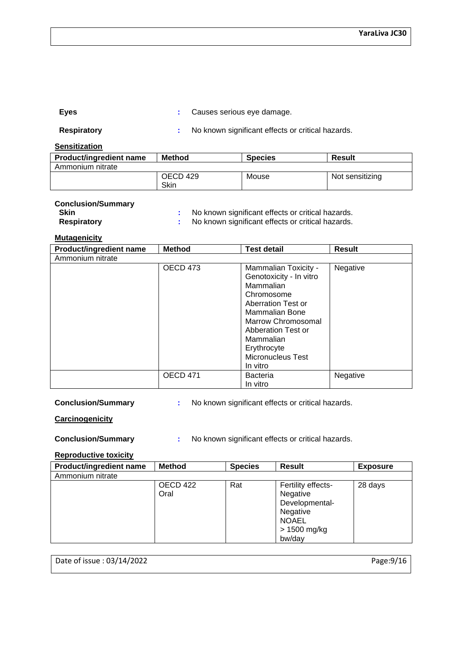| Eyes | Causes serious eye damage. |  |
|------|----------------------------|--|
|------|----------------------------|--|

| <b>Respiratory</b> |
|--------------------|
|--------------------|

**Respirat Respirat Respirations :** No known significant effects or critical hazards.

**Sensitization**

| <b>Product/ingredient name</b> | Method           | <b>Species</b> | <b>Result</b>   |
|--------------------------------|------------------|----------------|-----------------|
| Ammonium nitrate               |                  |                |                 |
|                                | OECD 429<br>Skin | Mouse          | Not sensitizing |

#### **Conclusion/Summary**

| Skin               | No known significant effects or critical hazards. |
|--------------------|---------------------------------------------------|
| <b>Respiratory</b> | No known significant effects or critical hazards. |

**Mutagenicity**

| Product/ingredient name | <b>Method</b>   | <b>Test detail</b>                                                                                                                                                                                                                 | <b>Result</b> |
|-------------------------|-----------------|------------------------------------------------------------------------------------------------------------------------------------------------------------------------------------------------------------------------------------|---------------|
| Ammonium nitrate        |                 |                                                                                                                                                                                                                                    |               |
|                         | OECD 473        | Mammalian Toxicity -<br>Genotoxicity - In vitro<br>Mammalian<br>Chromosome<br>Aberration Test or<br>Mammalian Bone<br>Marrow Chromosomal<br>Abberation Test or<br>Mammalian<br>Erythrocyte<br><b>Micronucleus Test</b><br>In vitro | Negative      |
|                         | <b>OECD 471</b> | <b>Bacteria</b><br>In vitro                                                                                                                                                                                                        | Negative      |

**Conclusion/Summary :** No known significant effects or critical hazards.

**Carcinogenicity**

**Conclusion/Summary :** No known significant effects or critical hazards.

#### **Reproductive toxicity**

| <b>Product/ingredient name</b> | <b>Method</b>    | <b>Species</b> | <b>Result</b>                                                                                          | <b>Exposure</b> |
|--------------------------------|------------------|----------------|--------------------------------------------------------------------------------------------------------|-----------------|
| Ammonium nitrate               |                  |                |                                                                                                        |                 |
|                                | OECD 422<br>Oral | Rat            | Fertility effects-<br>Negative<br>Developmental-<br>Negative<br><b>NOAEL</b><br>> 1500 mg/kg<br>bw/day | 28 days         |

Date of issue : 03/14/2022 Page:9/16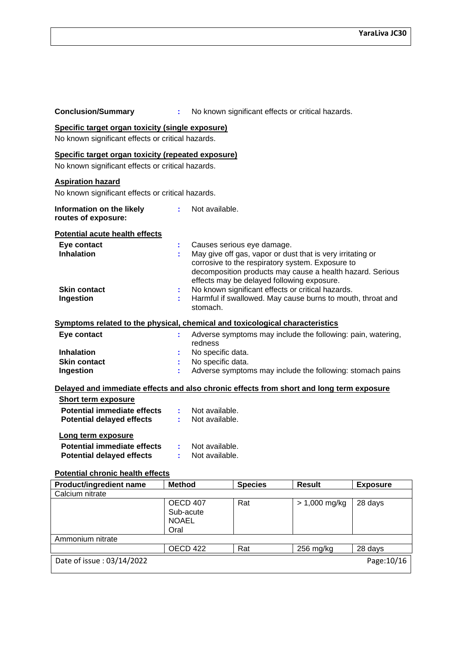| <b>Conclusion/Summary</b>                                                                                                                                                                                                                                                                                                                                                                                                                                                                   |                                                                                                                                                                               |                                    |                | No known significant effects or critical hazards. |                        |  |  |  |
|---------------------------------------------------------------------------------------------------------------------------------------------------------------------------------------------------------------------------------------------------------------------------------------------------------------------------------------------------------------------------------------------------------------------------------------------------------------------------------------------|-------------------------------------------------------------------------------------------------------------------------------------------------------------------------------|------------------------------------|----------------|---------------------------------------------------|------------------------|--|--|--|
| Specific target organ toxicity (single exposure)<br>No known significant effects or critical hazards.                                                                                                                                                                                                                                                                                                                                                                                       |                                                                                                                                                                               |                                    |                |                                                   |                        |  |  |  |
| Specific target organ toxicity (repeated exposure)<br>No known significant effects or critical hazards.                                                                                                                                                                                                                                                                                                                                                                                     |                                                                                                                                                                               |                                    |                |                                                   |                        |  |  |  |
| <b>Aspiration hazard</b><br>No known significant effects or critical hazards.                                                                                                                                                                                                                                                                                                                                                                                                               |                                                                                                                                                                               |                                    |                |                                                   |                        |  |  |  |
| Not available.<br>Information on the likely<br>routes of exposure:                                                                                                                                                                                                                                                                                                                                                                                                                          |                                                                                                                                                                               |                                    |                |                                                   |                        |  |  |  |
| <b>Potential acute health effects</b><br>Eye contact<br>Causes serious eye damage.<br><b>Inhalation</b><br>May give off gas, vapor or dust that is very irritating or<br>corrosive to the respiratory system. Exposure to<br>decomposition products may cause a health hazard. Serious<br>effects may be delayed following exposure.<br>No known significant effects or critical hazards.<br><b>Skin contact</b><br>Harmful if swallowed. May cause burns to mouth, throat and<br>Ingestion |                                                                                                                                                                               |                                    |                |                                                   |                        |  |  |  |
| stomach.<br>Symptoms related to the physical, chemical and toxicological characteristics                                                                                                                                                                                                                                                                                                                                                                                                    |                                                                                                                                                                               |                                    |                |                                                   |                        |  |  |  |
| Eye contact<br><b>Inhalation</b><br><b>Skin contact</b><br>Ingestion                                                                                                                                                                                                                                                                                                                                                                                                                        | Adverse symptoms may include the following: pain, watering,<br>redness<br>No specific data.<br>No specific data.<br>Adverse symptoms may include the following: stomach pains |                                    |                |                                                   |                        |  |  |  |
| Delayed and immediate effects and also chronic effects from short and long term exposure<br><b>Short term exposure</b><br><b>Potential immediate effects</b>                                                                                                                                                                                                                                                                                                                                |                                                                                                                                                                               | Not available.                     |                |                                                   |                        |  |  |  |
| <b>Potential delayed effects</b>                                                                                                                                                                                                                                                                                                                                                                                                                                                            |                                                                                                                                                                               | Not available.                     |                |                                                   |                        |  |  |  |
| Long term exposure<br><b>Potential immediate effects</b><br><b>Potential delayed effects</b><br><b>Potential chronic health effects</b>                                                                                                                                                                                                                                                                                                                                                     |                                                                                                                                                                               | Not available.<br>: Not available. |                |                                                   |                        |  |  |  |
| <b>Product/ingredient name</b>                                                                                                                                                                                                                                                                                                                                                                                                                                                              | <b>Method</b>                                                                                                                                                                 |                                    | <b>Species</b> | <b>Result</b>                                     | <b>Exposure</b>        |  |  |  |
| Calcium nitrate                                                                                                                                                                                                                                                                                                                                                                                                                                                                             |                                                                                                                                                                               |                                    |                |                                                   |                        |  |  |  |
| <b>OECD 407</b><br>Rat<br>$> 1,000$ mg/kg<br>28 days<br>Sub-acute<br><b>NOAEL</b><br>Oral                                                                                                                                                                                                                                                                                                                                                                                                   |                                                                                                                                                                               |                                    |                |                                                   |                        |  |  |  |
| Ammonium nitrate                                                                                                                                                                                                                                                                                                                                                                                                                                                                            |                                                                                                                                                                               |                                    |                |                                                   |                        |  |  |  |
| Date of issue: 03/14/2022                                                                                                                                                                                                                                                                                                                                                                                                                                                                   |                                                                                                                                                                               | <b>OECD 422</b>                    | Rat            | 256 mg/kg                                         | 28 days<br>Page: 10/16 |  |  |  |
|                                                                                                                                                                                                                                                                                                                                                                                                                                                                                             |                                                                                                                                                                               |                                    |                |                                                   |                        |  |  |  |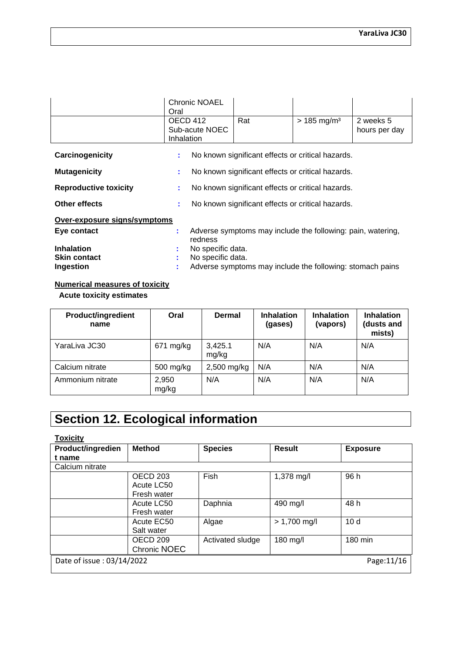|                 | <b>Chronic NOAEL</b><br>Oral             |                                                   |                           |                            |
|-----------------|------------------------------------------|---------------------------------------------------|---------------------------|----------------------------|
|                 | OECD 412<br>Sub-acute NOEC<br>Inhalation | Rat                                               | $> 185$ mg/m <sup>3</sup> | 2 weeks 5<br>hours per day |
| Carcinogenicity |                                          | No known significant effects or critical hazards. |                           |                            |
| Mutagonicity    |                                          | No known significant affects or critical hazards  |                           |                            |

| <b>Mutagement</b>            | $\sim$ two known significant effects of chucal hazards.                |
|------------------------------|------------------------------------------------------------------------|
| <b>Reproductive toxicity</b> | No known significant effects or critical hazards.                      |
| <b>Other effects</b>         | No known significant effects or critical hazards.                      |
| Over-exposure signs/symptoms |                                                                        |
| Eye contact                  | Adverse symptoms may include the following: pain, watering,<br>redness |
| <b>Inhalation</b>            | No specific data.                                                      |
| <b>Skin contact</b>          | No specific data.                                                      |
| Ingestion                    | Adverse symptoms may include the following: stomach pains              |

### **Numerical measures of toxicity**

 **Acute toxicity estimates**

| <b>Product/ingredient</b><br>name | Oral           | <b>Dermal</b>    | <b>Inhalation</b><br>(gases) | <b>Inhalation</b><br>(vapors) | <b>Inhalation</b><br>(dusts and<br>mists) |
|-----------------------------------|----------------|------------------|------------------------------|-------------------------------|-------------------------------------------|
| YaraLiva JC30                     | $671$ mg/kg    | 3,425.1<br>mg/kg | N/A                          | N/A                           | N/A                                       |
| Calcium nitrate                   | 500 mg/kg      | 2,500 mg/kg      | N/A                          | N/A                           | N/A                                       |
| Ammonium nitrate                  | 2,950<br>mg/kg | N/A              | N/A                          | N/A                           | N/A                                       |

## **Section 12. Ecological information**

| <b>Toxicity</b>           |                 |                  |                |                 |
|---------------------------|-----------------|------------------|----------------|-----------------|
| Product/ingredien         | <b>Method</b>   | <b>Species</b>   | <b>Result</b>  | <b>Exposure</b> |
| t name                    |                 |                  |                |                 |
| Calcium nitrate           |                 |                  |                |                 |
|                           | <b>OECD 203</b> | <b>Fish</b>      | 1,378 mg/l     | 96 h            |
|                           | Acute LC50      |                  |                |                 |
|                           | Fresh water     |                  |                |                 |
|                           | Acute LC50      | Daphnia          | 490 mg/l       | 48 h            |
|                           | Fresh water     |                  |                |                 |
|                           | Acute EC50      | Algae            | $> 1,700$ mg/l | 10d             |
|                           | Salt water      |                  |                |                 |
|                           | OECD 209        | Activated sludge | 180 mg/l       | 180 min         |
|                           | Chronic NOEC    |                  |                |                 |
| Date of issue: 03/14/2022 |                 |                  |                | Page: 11/16     |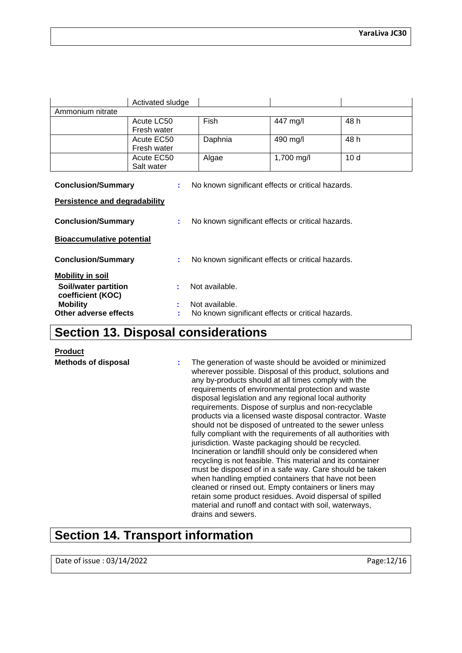|                                                                                     | Activated sludge |             |            |                 |
|-------------------------------------------------------------------------------------|------------------|-------------|------------|-----------------|
| Ammonium nitrate                                                                    |                  |             |            |                 |
|                                                                                     | Acute LC50       | <b>Fish</b> | 447 mg/l   | 48 h            |
|                                                                                     | Fresh water      |             |            |                 |
|                                                                                     | Acute EC50       | Daphnia     | 490 mg/l   | 48 h            |
|                                                                                     | Fresh water      |             |            |                 |
|                                                                                     | Acute EC50       | Algae       | 1,700 mg/l | 10 <sub>d</sub> |
|                                                                                     | Salt water       |             |            |                 |
| <b>Conclusion/Summary</b><br>No known significant effects or critical hazards.<br>÷ |                  |             |            |                 |
| <b>Persistence and degradability</b>                                                |                  |             |            |                 |
| <b>Conclusion/Summary</b><br>No known significant effects or critical hazards.<br>÷ |                  |             |            |                 |
| <b>Bioaccumulative potential</b>                                                    |                  |             |            |                 |

| <b>Conclusion/Summary</b>                        |    | No known significant effects or critical hazards. |
|--------------------------------------------------|----|---------------------------------------------------|
| <b>Mobility in soil</b>                          |    |                                                   |
| <b>Soil/water partition</b><br>coefficient (KOC) | ÷. | Not available.                                    |
| <b>Mobility</b>                                  | ÷  | Not available.                                    |
| Other adverse effects                            |    | No known significant effects or critical hazards. |

### **Section 13. Disposal considerations**

**Product**

**Methods of disposal :** The generation of waste should be avoided or minimized wherever possible. Disposal of this product, solutions and any by-products should at all times comply with the requirements of environmental protection and waste disposal legislation and any regional local authority requirements. Dispose of surplus and non-recyclable products via a licensed waste disposal contractor. Waste should not be disposed of untreated to the sewer unless fully compliant with the requirements of all authorities with jurisdiction. Waste packaging should be recycled. Incineration or landfill should only be considered when recycling is not feasible. This material and its container must be disposed of in a safe way. Care should be taken when handling emptied containers that have not been cleaned or rinsed out. Empty containers or liners may retain some product residues. Avoid dispersal of spilled material and runoff and contact with soil, waterways, drains and sewers.

### **Section 14. Transport information**

Date of issue : 03/14/2022 **Page:12/16**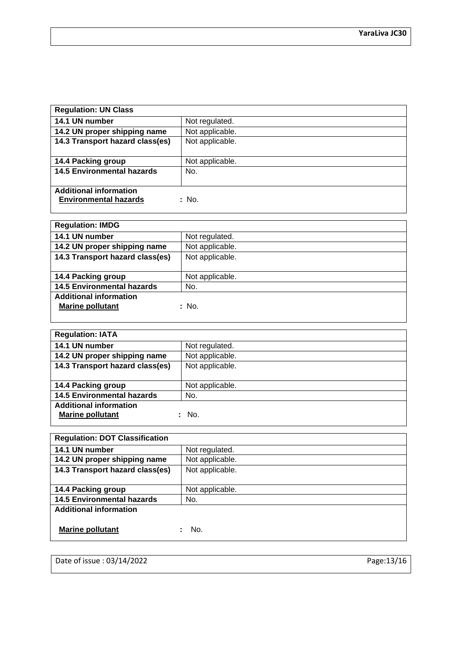| <b>Regulation: UN Class</b>           |                 |  |
|---------------------------------------|-----------------|--|
| 14.1 UN number                        | Not regulated.  |  |
| 14.2 UN proper shipping name          | Not applicable. |  |
| 14.3 Transport hazard class(es)       | Not applicable. |  |
|                                       |                 |  |
| 14.4 Packing group                    | Not applicable. |  |
| <b>14.5 Environmental hazards</b>     | No.             |  |
|                                       |                 |  |
| <b>Additional information</b>         |                 |  |
| <b>Environmental hazards</b><br>: No. |                 |  |
|                                       |                 |  |

| <b>Regulation: IMDG</b>           |                 |  |
|-----------------------------------|-----------------|--|
| 14.1 UN number                    | Not regulated.  |  |
| 14.2 UN proper shipping name      | Not applicable. |  |
| 14.3 Transport hazard class(es)   | Not applicable. |  |
|                                   |                 |  |
| 14.4 Packing group                | Not applicable. |  |
| <b>14.5 Environmental hazards</b> | No.             |  |
| <b>Additional information</b>     |                 |  |
| <b>Marine pollutant</b>           | : No.           |  |
|                                   |                 |  |

| <b>Regulation: IATA</b>           |                 |  |
|-----------------------------------|-----------------|--|
| 14.1 UN number                    | Not regulated.  |  |
| 14.2 UN proper shipping name      | Not applicable. |  |
| 14.3 Transport hazard class(es)   | Not applicable. |  |
|                                   |                 |  |
| 14.4 Packing group                | Not applicable. |  |
| <b>14.5 Environmental hazards</b> | No.             |  |
| <b>Additional information</b>     |                 |  |
| <b>Marine pollutant</b>           | No.             |  |
|                                   |                 |  |

| <b>Regulation: DOT Classification</b> |                 |  |
|---------------------------------------|-----------------|--|
| 14.1 UN number                        | Not regulated.  |  |
| 14.2 UN proper shipping name          | Not applicable. |  |
| 14.3 Transport hazard class(es)       | Not applicable. |  |
|                                       |                 |  |
| 14.4 Packing group                    | Not applicable. |  |
| <b>14.5 Environmental hazards</b>     | No.             |  |
| <b>Additional information</b>         |                 |  |
|                                       |                 |  |
| Marine pollutant                      | No.             |  |

Date of issue : 03/14/2022 Page:13/16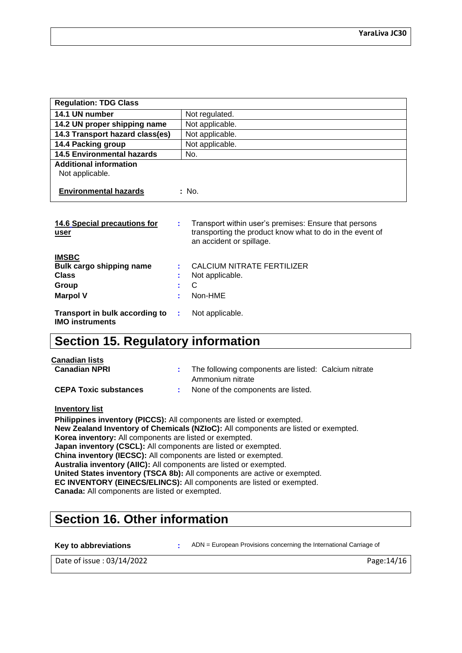| <b>Regulation: TDG Class</b>                     |                                                                                                                                                                 |
|--------------------------------------------------|-----------------------------------------------------------------------------------------------------------------------------------------------------------------|
| 14.1 UN number                                   | Not regulated.                                                                                                                                                  |
| 14.2 UN proper shipping name                     | Not applicable.                                                                                                                                                 |
| 14.3 Transport hazard class(es)                  | Not applicable.                                                                                                                                                 |
| 14.4 Packing group                               | Not applicable.                                                                                                                                                 |
| <b>14.5 Environmental hazards</b>                | No.                                                                                                                                                             |
| <b>Additional information</b><br>Not applicable. |                                                                                                                                                                 |
| <b>Environmental hazards</b>                     | : No.                                                                                                                                                           |
| 14.6 Special precautions for<br>user             | Transport within user's premises: Ensure that persons<br>÷<br>transporting the product know what to do in the event of<br>an accident or spillage.              |
| <b>IMSBC</b>                                     | $\bigcap$ $\bigcup$ $\bigcap$ $\bigcup$ $\bigcup$ $\bigcup$ $\bigcap$ $\bigcap$ $\bigcap$ $\bigcap$ $\bigcap$ $\bigcap$ $\bigcap$ $\bigcap$ $\bigcap$ $\bigcap$ |

| Bulk cargo shipping name<br><b>Class</b>                                          | t i          | CALCIUM NITRATE FERTILIZER<br>Not applicable. |
|-----------------------------------------------------------------------------------|--------------|-----------------------------------------------|
| Group<br><b>Marpol V</b>                                                          | $\mathbf{C}$ | : Non-HME                                     |
| <b>Transport in bulk according to : Not applicable.</b><br><b>IMO instruments</b> |              |                                               |

### **Section 15. Regulatory information**

| Canadian lists<br><b>Canadian NPRI</b> | : The following components are listed: Calcium nitrate |  |
|----------------------------------------|--------------------------------------------------------|--|
|                                        | Ammonium nitrate                                       |  |
| <b>CEPA Toxic substances</b>           | None of the components are listed.                     |  |

**Inventory list**

**Philippines inventory (PICCS):** All components are listed or exempted. **New Zealand Inventory of Chemicals (NZIoC):** All components are listed or exempted. **Korea inventory:** All components are listed or exempted. **Japan inventory (CSCL):** All components are listed or exempted. **China inventory (IECSC):** All components are listed or exempted. **Australia inventory (AIIC):** All components are listed or exempted. **United States inventory (TSCA 8b):** All components are active or exempted. **EC INVENTORY (EINECS/ELINCS):** All components are listed or exempted. **Canada:** All components are listed or exempted.

### **Section 16. Other information**

**Key to abbreviations :** ADN = European Provisions concerning the International Carriage of

Date of issue : 03/14/2022 **Page:**14/16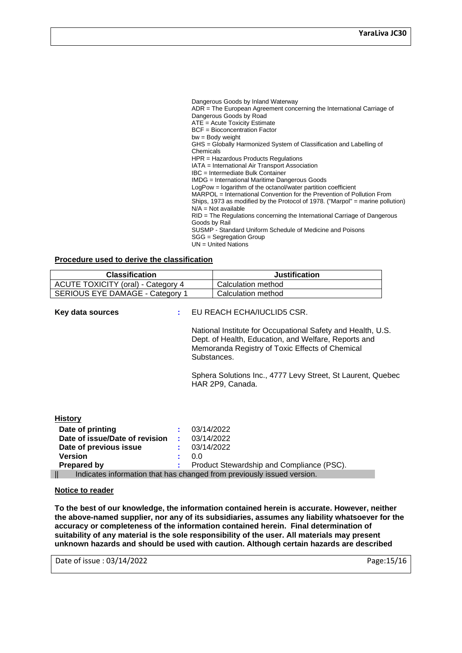Dangerous Goods by Inland Waterway ADR = The European Agreement concerning the International Carriage of Dangerous Goods by Road ATE = Acute Toxicity Estimate BCF = Bioconcentration Factor bw = Body weight GHS = Globally Harmonized System of Classification and Labelling of Chemicals HPR = Hazardous Products Regulations IATA = International Air Transport Association IBC = Intermediate Bulk Container IMDG = International Maritime Dangerous Goods LogPow = logarithm of the octanol/water partition coefficient MARPOL = International Convention for the Prevention of Pollution From Ships, 1973 as modified by the Protocol of 1978. ("Marpol" = marine pollution)  $N/A$  = Not available RID = The Regulations concerning the International Carriage of Dangerous Goods by Rail SUSMP - Standard Uniform Schedule of Medicine and Poisons SGG = Segregation Group UN = United Nations

#### **Procedure used to derive the classification**

| <b>Classification</b>                                                                                                                                                                                            |                                                                                                                                                                                                                                                                                                        | <b>Justification</b>                      |
|------------------------------------------------------------------------------------------------------------------------------------------------------------------------------------------------------------------|--------------------------------------------------------------------------------------------------------------------------------------------------------------------------------------------------------------------------------------------------------------------------------------------------------|-------------------------------------------|
| <b>ACUTE TOXICITY (oral) - Category 4</b>                                                                                                                                                                        |                                                                                                                                                                                                                                                                                                        | Calculation method                        |
| SERIOUS EYE DAMAGE - Category 1                                                                                                                                                                                  |                                                                                                                                                                                                                                                                                                        | Calculation method                        |
| Key data sources                                                                                                                                                                                                 | EU REACH ECHA/IUCLID5 CSR.<br>National Institute for Occupational Safety and Health, U.S.<br>Dept. of Health, Education, and Welfare, Reports and<br>Memoranda Registry of Toxic Effects of Chemical<br>Substances.<br>Sphera Solutions Inc., 4777 Levy Street, St Laurent, Quebec<br>HAR 2P9, Canada. |                                           |
| <b>History</b><br>Date of printing<br>Date of issue/Date of revision<br>Date of previous issue<br><b>Version</b><br><b>Prepared by</b><br>Indicates information that has changed from previously issued version. | 03/14/2022<br>03/14/2022<br>03/14/2022<br>0.0                                                                                                                                                                                                                                                          | Product Stewardship and Compliance (PSC). |

#### **Notice to reader**

**To the best of our knowledge, the information contained herein is accurate. However, neither the above-named supplier, nor any of its subsidiaries, assumes any liability whatsoever for the accuracy or completeness of the information contained herein. Final determination of suitability of any material is the sole responsibility of the user. All materials may present unknown hazards and should be used with caution. Although certain hazards are described** 

Date of issue : 03/14/2022 **Page:**15/16